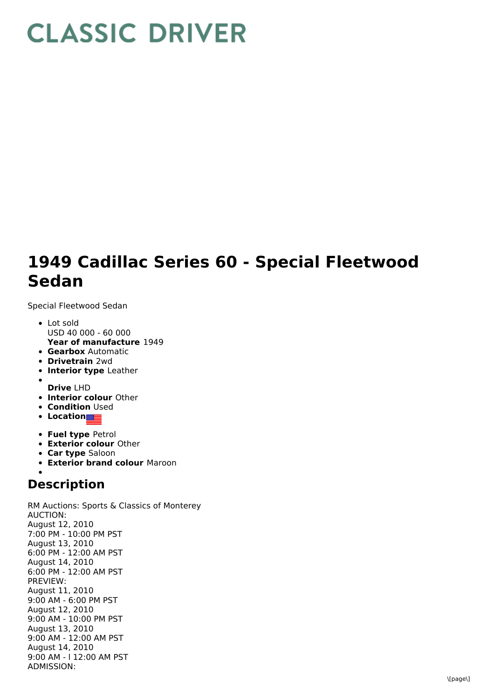## **CLASSIC DRIVER**

## **1949 Cadillac Series 60 - Special Fleetwood Sedan**

Special Fleetwood Sedan

- **Year of manufacture** 1949 Lot sold USD 40 000 - 60 000
- **Gearbox** Automatic
- **Drivetrain** 2wd
- **Interior type** Leather
- **Drive** LHD
- **Interior colour** Other
- **Condition Used**
- **Location**
- **Fuel type** Petrol
- **Exterior colour** Other
- **Car type** Saloon
- **Exterior brand colour** Maroon

## **Description**

RM Auctions: Sports & Classics of Monterey AUCTION: August 12, 2010 7:00 PM - 10:00 PM PST August 13, 2010 6:00 PM - 12:00 AM PST August 14, 2010 6:00 PM - 12:00 AM PST PREVIEW: August 11, 2010 9:00 AM - 6:00 PM PST August 12, 2010 9:00 AM - 10:00 PM PST August 13, 2010 9:00 AM - 12:00 AM PST August 14, 2010 9:00 AM - l 12:00 AM PST ADMISSION: